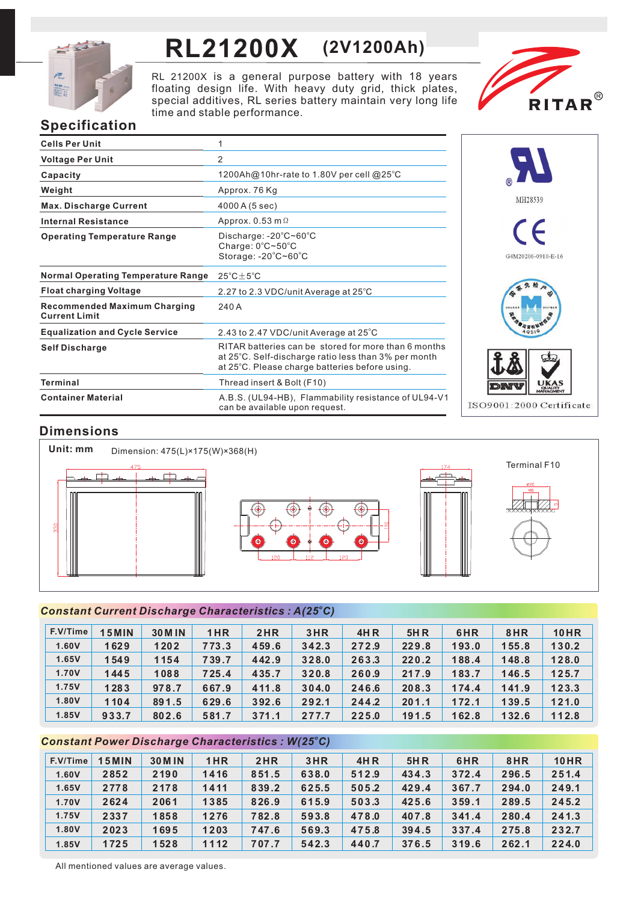

# **RL21200X (2V1200Ah)**

RL 21200X is a general purpose battery with 18 years floating design life. With heavy duty grid, thick plates, special additives, RL series battery maintain very long life time and stable performance.



# **Specification**

| <b>Cells Per Unit</b>                                       | 1                                                                                                                                                              |
|-------------------------------------------------------------|----------------------------------------------------------------------------------------------------------------------------------------------------------------|
| <b>Voltage Per Unit</b>                                     | $\overline{2}$                                                                                                                                                 |
| Capacity                                                    | 1200Ah@10hr-rate to 1.80V per cell @25°C                                                                                                                       |
| Weight                                                      | Approx. 76 Kg                                                                                                                                                  |
| <b>Max. Discharge Current</b>                               | 4000 A (5 sec)                                                                                                                                                 |
| <b>Internal Resistance</b>                                  | Approx. $0.53$ m $\Omega$                                                                                                                                      |
| <b>Operating Temperature Range</b>                          | Discharge: $-20^{\circ}$ C $\sim$ 60 $^{\circ}$ C<br>Charge: 0°C~50°C<br>Storage: -20°C~60°C                                                                   |
| <b>Normal Operating Temperature Range</b>                   | $25^{\circ}$ C $\pm$ 5 $^{\circ}$ C                                                                                                                            |
| <b>Float charging Voltage</b>                               | 2.27 to 2.3 VDC/unit Average at 25°C                                                                                                                           |
| <b>Recommended Maximum Charging</b><br><b>Current Limit</b> | 240 A                                                                                                                                                          |
| <b>Equalization and Cycle Service</b>                       | 2.43 to 2.47 VDC/unit Average at 25°C                                                                                                                          |
| <b>Self Discharge</b>                                       | RITAR batteries can be stored for more than 6 months<br>at 25°C. Self-discharge ratio less than 3% per month<br>at 25°C. Please charge batteries before using. |
| <b>Terminal</b>                                             | Thread insert & Bolt (F10)                                                                                                                                     |
| <b>Container Material</b>                                   | A.B.S. (UL94-HB), Flammability resistance of UL94-V1<br>can be available upon request.                                                                         |



# **Dimensions**



### *<sup>o</sup> Constant Current Discharge Characteristics : A(25 C)*

| F.V/Time | 5 MIN | <b>30 M IN</b> | 1HR   | 2HR   | 3HR   | <b>4HR</b> | <b>5HR</b> | 6HR   | 8HR   | <b>10HR</b> |
|----------|-------|----------------|-------|-------|-------|------------|------------|-------|-------|-------------|
| 1.60V    | 1629  | 1202           | 773.3 | 459.6 | 342.3 | 272.9      | 229.8      | 193.0 | 155.8 | 130.2       |
| 1.65V    | 1549  | 1154           | 739.7 | 442.9 | 328.0 | 263.3      | 220.2      | 188.4 | 148.8 | 128.0       |
| 1.70V    | 1445  | 1088           | 725.4 | 435.7 | 320.8 | 260.9      | 217.9      | 183.7 | 146.5 | 125.7       |
| 1.75V    | 1283  | 978.7          | 667.9 | 411.8 | 304.0 | 246.6      | 208.3      | 174.4 | 141.9 | 123.3       |
| 1.80V    | 1104  | 891.5          | 629.6 | 392.6 | 292.1 | 244.2      | 201.1      | 172.1 | 139.5 | 121.0       |
| 1.85V    | 933.7 | 802.6          | 581.7 | 371.1 | 277.7 | 225.0      | 191.5      | 162.8 | 132.6 | 112.8       |

### *<sup>o</sup> Constant Power Discharge Characteristics : W(25 C)*

| F.V/Time | <b>15MIN</b> | <b>30 M IN</b> | 1HR  | 2HR   | 3HR   | <b>4HR</b> | <b>5HR</b> | 6HR   | 8HR   | <b>10HR</b> |
|----------|--------------|----------------|------|-------|-------|------------|------------|-------|-------|-------------|
| 1.60V    | 2852         | 2190           | 1416 | 851.5 | 638.0 | 512.9      | 434.3      | 372.4 | 296.5 | 251.4       |
| 1.65V    | 2778         | 2178           | 1411 | 839.2 | 625.5 | 505.2      | 429.4      | 367.7 | 294.0 | 249.1       |
| 1.70V    | 2624         | 2061           | 1385 | 826.9 | 615.9 | 503.3      | 425.6      | 359.1 | 289.5 | 245.2       |
| 1.75V    | 2337         | 1858           | 1276 | 782.8 | 593.8 | 478.0      | 407.8      | 341.4 | 280.4 | 241.3       |
| 1.80V    | 2023         | 1695           | 1203 | 747.6 | 569.3 | 475.8      | 394.5      | 337.4 | 275.8 | 232.7       |
| 1.85V    | 1725         | 1528           | 1112 | 707.7 | 542.3 | 440.7      | 376.5      | 319.6 | 262.1 | 224.0       |

All mentioned values are average values.